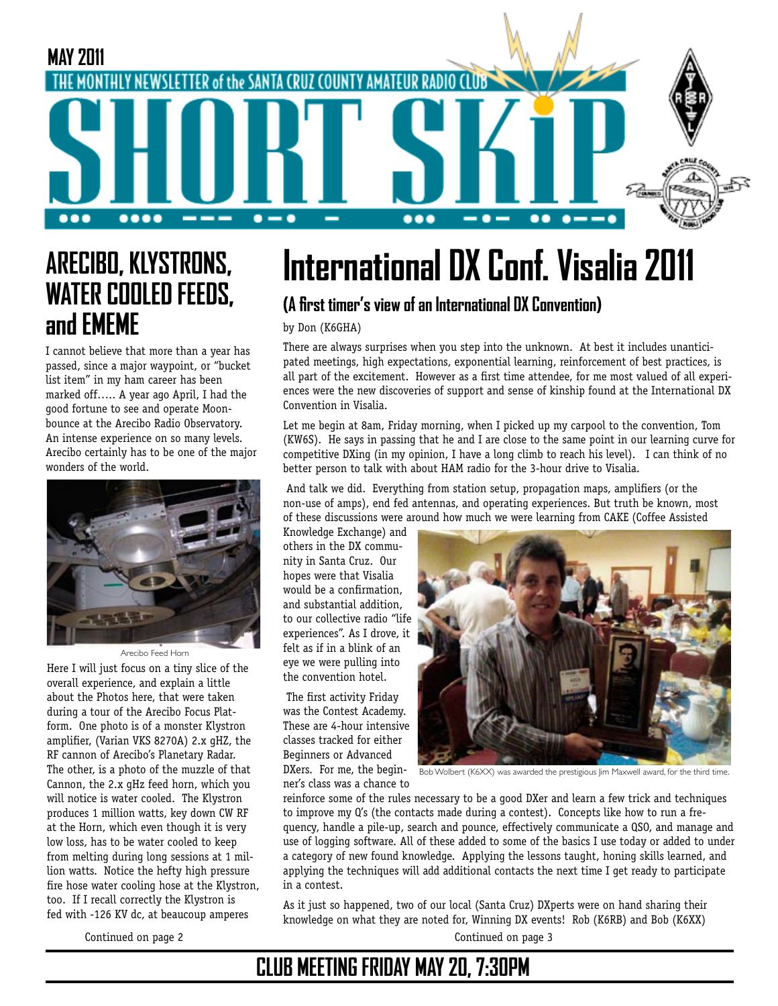

## **ARECIBO, KLYSTRONS, WATER COOLED FEEDS, and EMEME**

I cannot believe that more than a year has passed, since a major waypoint, or "bucket list item" in my ham career has been marked off….. A year ago April, I had the good fortune to see and operate Moonbounce at the Arecibo Radio Observatory. An intense experience on so many levels. Arecibo certainly has to be one of the major wonders of the world.



Here I will just focus on a tiny slice of the overall experience, and explain a little about the Photos here, that were taken during a tour of the Arecibo Focus Platform. One photo is of a monster Klystron amplifier, (Varian VKS 8270A) 2.x gHZ, the RF cannon of Arecibo's Planetary Radar. The other, is a photo of the muzzle of that Cannon, the 2.x gHz feed horn, which you will notice is water cooled. The Klystron produces 1 million watts, key down CW RF at the Horn, which even though it is very low loss, has to be water cooled to keep from melting during long sessions at 1 million watts. Notice the hefty high pressure fire hose water cooling hose at the Klystron, too. If I recall correctly the Klystron is fed with -126 KV dc, at beaucoup amperes Arecibo Feed Horn

# **International DX Conf. Visalia 2011**

### **(A first timer's view of an International DX Convention)**

by Don (K6GHA)

There are always surprises when you step into the unknown. At best it includes unanticipated meetings, high expectations, exponential learning, reinforcement of best practices, is all part of the excitement. However as a first time attendee, for me most valued of all experiences were the new discoveries of support and sense of kinship found at the International DX Convention in Visalia.

Let me begin at 8am, Friday morning, when I picked up my carpool to the convention, Tom (KW6S). He says in passing that he and I are close to the same point in our learning curve for competitive DXing (in my opinion, I have a long climb to reach his level). I can think of no better person to talk with about HAM radio for the 3-hour drive to Visalia.

 And talk we did. Everything from station setup, propagation maps, amplifiers (or the non-use of amps), end fed antennas, and operating experiences. But truth be known, most of these discussions were around how much we were learning from CAKE (Coffee Assisted

Knowledge Exchange) and others in the DX community in Santa Cruz. Our hopes were that Visalia would be a confirmation, and substantial addition, to our collective radio "life experiences". As I drove, it felt as if in a blink of an eye we were pulling into the convention hotel.

 The first activity Friday was the Contest Academy. These are 4-hour intensive classes tracked for either Beginners or Advanced ner's class was a chance to



**DXers.** For me, the begin-  $\frac{1}{B0}$  Wolbert (K6XX) was awarded the prestigious Jim Maxwell award, for the third time.

reinforce some of the rules necessary to be a good DXer and learn a few trick and techniques to improve my Q's (the contacts made during a contest). Concepts like how to run a frequency, handle a pile-up, search and pounce, effectively communicate a QSO, and manage and use of logging software. All of these added to some of the basics I use today or added to under a category of new found knowledge. Applying the lessons taught, honing skills learned, and applying the techniques will add additional contacts the next time I get ready to participate in a contest.

As it just so happened, two of our local (Santa Cruz) DXperts were on hand sharing their knowledge on what they are noted for, Winning DX events! Rob (K6RB) and Bob (K6XX) Continued on page 2 Continued on page 3

## **CLUB MEETING FRIDAY MAY 20, 7:30PM**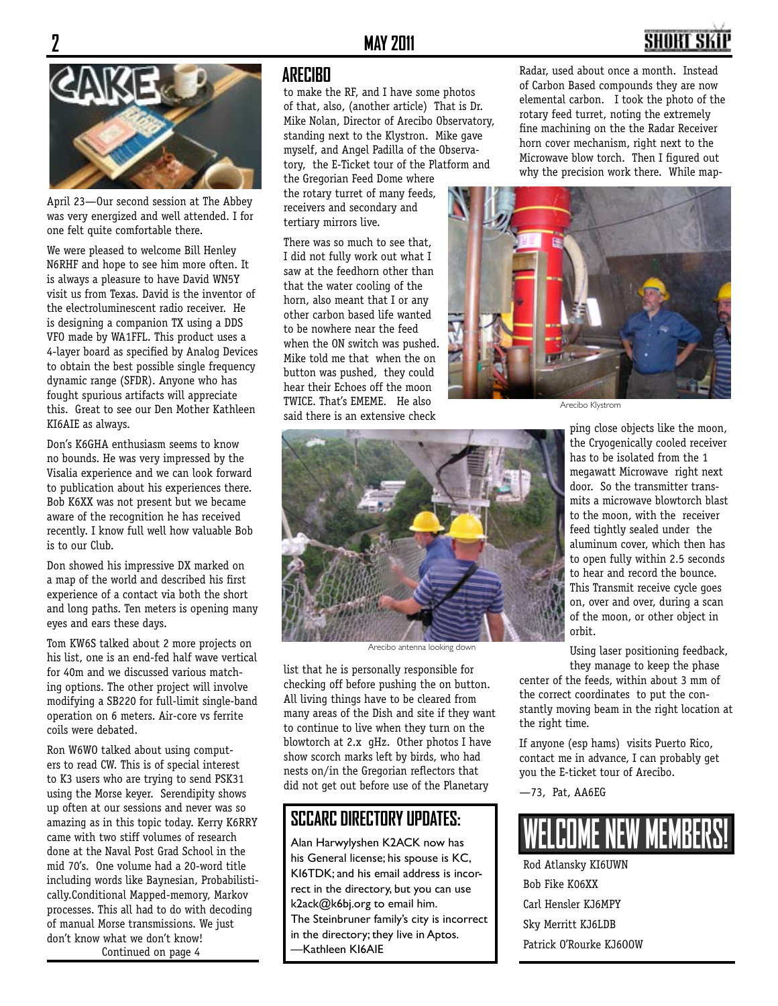

April 23—Our second session at The Abbey was very energized and well attended. I for one felt quite comfortable there.

We were pleased to welcome Bill Henley N6RHF and hope to see him more often. It is always a pleasure to have David WN5Y visit us from Texas. David is the inventor of the electroluminescent radio receiver. He is designing a companion TX using a DDS VFO made by WA1FFL. This product uses a 4-layer board as specified by Analog Devices to obtain the best possible single frequency dynamic range (SFDR). Anyone who has fought spurious artifacts will appreciate this. Great to see our Den Mother Kathleen KI6AIE as always.

Don's K6GHA enthusiasm seems to know no bounds. He was very impressed by the Visalia experience and we can look forward to publication about his experiences there. Bob K6XX was not present but we became aware of the recognition he has received recently. I know full well how valuable Bob is to our Club.

Don showed his impressive DX marked on a map of the world and described his first experience of a contact via both the short and long paths. Ten meters is opening many eyes and ears these days.

Tom KW6S talked about 2 more projects on his list, one is an end-fed half wave vertical for 40m and we discussed various matching options. The other project will involve modifying a SB220 for full-limit single-band operation on 6 meters. Air-core vs ferrite coils were debated.

Ron W6WO talked about using computers to read CW. This is of special interest to K3 users who are trying to send PSK31 using the Morse keyer. Serendipity shows up often at our sessions and never was so amazing as in this topic today. Kerry K6RRY came with two stiff volumes of research done at the Naval Post Grad School in the mid 70's. One volume had a 20-word title including words like Baynesian, Probabilistically.Conditional Mapped-memory, Markov processes. This all had to do with decoding of manual Morse transmissions. We just don't know what we don't know! Continued on page 4

#### **ARECIBO**

to make the RF, and I have some photos of that, also, (another article) That is Dr. Mike Nolan, Director of Arecibo Observatory, standing next to the Klystron. Mike gave myself, and Angel Padilla of the Observatory, the E-Ticket tour of the Platform and the Gregorian Feed Dome where

the rotary turret of many feeds, receivers and secondary and tertiary mirrors live.

There was so much to see that, I did not fully work out what I saw at the feedhorn other than that the water cooling of the horn, also meant that I or any other carbon based life wanted to be nowhere near the feed when the ON switch was pushed. Mike told me that when the on button was pushed, they could hear their Echoes off the moon TWICE. That's EMEME. He also said there is an extensive check

Radar, used about once a month. Instead of Carbon Based compounds they are now elemental carbon. I took the photo of the rotary feed turret, noting the extremely fine machining on the the Radar Receiver horn cover mechanism, right next to the Microwave blow torch. Then I figured out why the precision work there. While map-



Arecibo Klystrom



Arecibo antenna looking down

list that he is personally responsible for checking off before pushing the on button. All living things have to be cleared from many areas of the Dish and site if they want to continue to live when they turn on the blowtorch at 2.x gHz. Other photos I have show scorch marks left by birds, who had nests on/in the Gregorian reflectors that did not get out before use of the Planetary

### **SCCARC DIRECTORY UPDATES:**

Alan Harwylyshen K2ACK now has his General license; his spouse is KC, KI6TDK; and his email address is incorrect in the directory, but you can use k2ack@k6bj.org to email him. The Steinbruner family's city is incorrect in the directory; they live in Aptos. —Kathleen KI6AIE

ping close objects like the moon, the Cryogenically cooled receiver has to be isolated from the 1 megawatt Microwave right next door. So the transmitter transmits a microwave blowtorch blast to the moon, with the receiver feed tightly sealed under the aluminum cover, which then has to open fully within 2.5 seconds to hear and record the bounce. This Transmit receive cycle goes on, over and over, during a scan of the moon, or other object in orbit.

Using laser positioning feedback, they manage to keep the phase

center of the feeds, within about 3 mm of the correct coordinates to put the constantly moving beam in the right location at the right time.

If anyone (esp hams) visits Puerto Rico, contact me in advance, I can probably get you the E-ticket tour of Arecibo.

—73, Pat, AA6EG



Rod Atlansky KI6UWN Bob Fike K06XX Carl Hensler KJ6MPY Sky Merritt KJ6LDB Patrick O'Rourke KJ6OOW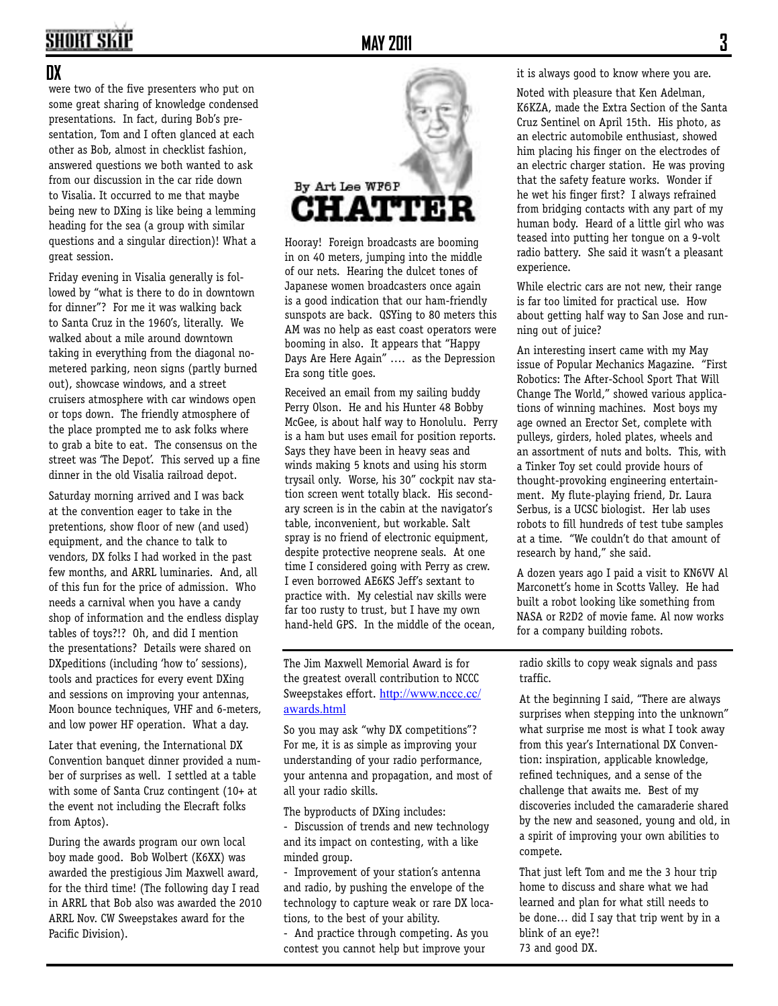# **SHORT SKIP**

#### **DX**

were two of the five presenters who put on some great sharing of knowledge condensed presentations. In fact, during Bob's presentation, Tom and I often glanced at each other as Bob, almost in checklist fashion, answered questions we both wanted to ask from our discussion in the car ride down to Visalia. It occurred to me that maybe being new to DXing is like being a lemming heading for the sea (a group with similar questions and a singular direction)! What a great session.

Friday evening in Visalia generally is followed by "what is there to do in downtown for dinner"? For me it was walking back to Santa Cruz in the 1960's, literally. We walked about a mile around downtown taking in everything from the diagonal nometered parking, neon signs (partly burned out), showcase windows, and a street cruisers atmosphere with car windows open or tops down. The friendly atmosphere of the place prompted me to ask folks where to grab a bite to eat. The consensus on the street was 'The Depot'. This served up a fine dinner in the old Visalia railroad depot.

Saturday morning arrived and I was back at the convention eager to take in the pretentions, show floor of new (and used) equipment, and the chance to talk to vendors, DX folks I had worked in the past few months, and ARRL luminaries. And, all of this fun for the price of admission. Who needs a carnival when you have a candy shop of information and the endless display tables of toys?!? Oh, and did I mention the presentations? Details were shared on DXpeditions (including 'how to' sessions), tools and practices for every event DXing and sessions on improving your antennas, Moon bounce techniques, VHF and 6-meters, and low power HF operation. What a day.

Later that evening, the International DX Convention banquet dinner provided a number of surprises as well. I settled at a table with some of Santa Cruz contingent (10+ at the event not including the Elecraft folks from Aptos).

During the awards program our own local boy made good. Bob Wolbert (K6XX) was awarded the prestigious Jim Maxwell award, for the third time! (The following day I read in ARRL that Bob also was awarded the 2010 ARRL Nov. CW Sweepstakes award for the Pacific Division).



Hooray! Foreign broadcasts are booming in on 40 meters, jumping into the middle of our nets. Hearing the dulcet tones of Japanese women broadcasters once again is a good indication that our ham-friendly sunspots are back. QSYing to 80 meters this AM was no help as east coast operators were booming in also. It appears that "Happy Days Are Here Again" …. as the Depression Era song title goes.

Received an email from my sailing buddy Perry Olson. He and his Hunter 48 Bobby McGee, is about half way to Honolulu. Perry is a ham but uses email for position reports. Says they have been in heavy seas and winds making 5 knots and using his storm trysail only. Worse, his 30" cockpit nav station screen went totally black. His secondary screen is in the cabin at the navigator's table, inconvenient, but workable. Salt spray is no friend of electronic equipment, despite protective neoprene seals. At one time I considered going with Perry as crew. I even borrowed AE6KS Jeff's sextant to practice with. My celestial nav skills were far too rusty to trust, but I have my own hand-held GPS. In the middle of the ocean,

The Jim Maxwell Memorial Award is for the greatest overall contribution to NCCC Sweepstakes effort. http://www.nccc.cc/ awards.html

So you may ask "why DX competitions"? For me, it is as simple as improving your understanding of your radio performance, your antenna and propagation, and most of all your radio skills.

The byproducts of DXing includes:

- Discussion of trends and new technology and its impact on contesting, with a like minded group.

- Improvement of your station's antenna and radio, by pushing the envelope of the technology to capture weak or rare DX locations, to the best of your ability.

- And practice through competing. As you contest you cannot help but improve your

it is always good to know where you are.

Noted with pleasure that Ken Adelman, K6KZA, made the Extra Section of the Santa Cruz Sentinel on April 15th. His photo, as an electric automobile enthusiast, showed him placing his finger on the electrodes of an electric charger station. He was proving that the safety feature works. Wonder if he wet his finger first? I always refrained from bridging contacts with any part of my human body. Heard of a little girl who was teased into putting her tongue on a 9-volt radio battery. She said it wasn't a pleasant experience.

While electric cars are not new, their range is far too limited for practical use. How about getting half way to San Jose and running out of juice?

An interesting insert came with my May issue of Popular Mechanics Magazine. "First Robotics: The After-School Sport That Will Change The World," showed various applications of winning machines. Most boys my age owned an Erector Set, complete with pulleys, girders, holed plates, wheels and an assortment of nuts and bolts. This, with a Tinker Toy set could provide hours of thought-provoking engineering entertainment. My flute-playing friend, Dr. Laura Serbus, is a UCSC biologist. Her lab uses robots to fill hundreds of test tube samples at a time. "We couldn't do that amount of research by hand," she said.

A dozen years ago I paid a visit to KN6VV Al Marconett's home in Scotts Valley. He had built a robot looking like something from NASA or R2D2 of movie fame. Al now works for a company building robots.

radio skills to copy weak signals and pass traffic.

At the beginning I said, "There are always surprises when stepping into the unknown" what surprise me most is what I took away from this year's International DX Convention: inspiration, applicable knowledge, refined techniques, and a sense of the challenge that awaits me. Best of my discoveries included the camaraderie shared by the new and seasoned, young and old, in a spirit of improving your own abilities to compete.

That just left Tom and me the 3 hour trip home to discuss and share what we had learned and plan for what still needs to be done… did I say that trip went by in a blink of an eye?! 73 and good DX.